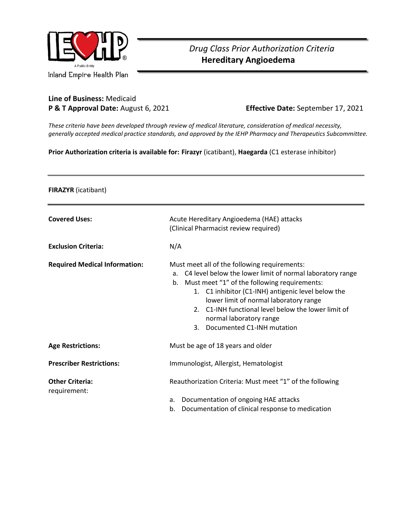

## *Drug Class Prior Authorization Criteria*  **Hereditary Angioedema**

## **Line of Business:** Medicaid **P & T Approval Date:** August 6, 2021 **Effective Date:** September 17, 2021

*These criteria have been developed through review of medical literature, consideration of medical necessity, generally accepted medical practice standards, and approved by the IEHP Pharmacy and Therapeutics Subcommittee.*

**Prior Authorization criteria is available for: Firazyr** (icatibant), **Haegarda** (C1 esterase inhibitor)

**FIRAZYR** (icatibant)

| <b>Covered Uses:</b>                   | Acute Hereditary Angioedema (HAE) attacks<br>(Clinical Pharmacist review required)                                                                                                                                                                                                                                                                                                                        |
|----------------------------------------|-----------------------------------------------------------------------------------------------------------------------------------------------------------------------------------------------------------------------------------------------------------------------------------------------------------------------------------------------------------------------------------------------------------|
| <b>Exclusion Criteria:</b>             | N/A                                                                                                                                                                                                                                                                                                                                                                                                       |
| <b>Required Medical Information:</b>   | Must meet all of the following requirements:<br>C4 level below the lower limit of normal laboratory range<br>a.<br>Must meet "1" of the following requirements:<br>b.<br>1. C1 inhibitor (C1-INH) antigenic level below the<br>lower limit of normal laboratory range<br>C1-INH functional level below the lower limit of<br>$\mathcal{P}$<br>normal laboratory range<br>Documented C1-INH mutation<br>3. |
| <b>Age Restrictions:</b>               | Must be age of 18 years and older                                                                                                                                                                                                                                                                                                                                                                         |
| <b>Prescriber Restrictions:</b>        | Immunologist, Allergist, Hematologist                                                                                                                                                                                                                                                                                                                                                                     |
| <b>Other Criteria:</b><br>requirement: | Reauthorization Criteria: Must meet "1" of the following<br>Documentation of ongoing HAE attacks<br>a.<br>Documentation of clinical response to medication<br>b.                                                                                                                                                                                                                                          |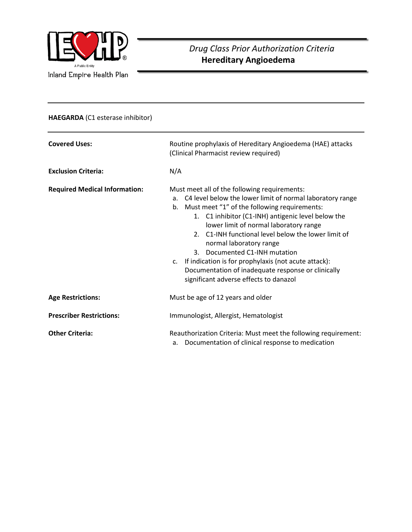

## **HAEGARDA** (C1 esterase inhibitor)

| <b>Covered Uses:</b><br><b>Exclusion Criteria:</b> | Routine prophylaxis of Hereditary Angioedema (HAE) attacks<br>(Clinical Pharmacist review required)<br>N/A                                                                                                                                                                                                                                                                                                                                                                                                                                                      |
|----------------------------------------------------|-----------------------------------------------------------------------------------------------------------------------------------------------------------------------------------------------------------------------------------------------------------------------------------------------------------------------------------------------------------------------------------------------------------------------------------------------------------------------------------------------------------------------------------------------------------------|
| <b>Required Medical Information:</b>               | Must meet all of the following requirements:<br>a. C4 level below the lower limit of normal laboratory range<br>b. Must meet "1" of the following requirements:<br>1. C1 inhibitor (C1-INH) antigenic level below the<br>lower limit of normal laboratory range<br>C1-INH functional level below the lower limit of<br>$2^{\circ}$<br>normal laboratory range<br>Documented C1-INH mutation<br>3.<br>If indication is for prophylaxis (not acute attack):<br>c.<br>Documentation of inadequate response or clinically<br>significant adverse effects to danazol |
| <b>Age Restrictions:</b>                           | Must be age of 12 years and older                                                                                                                                                                                                                                                                                                                                                                                                                                                                                                                               |
| <b>Prescriber Restrictions:</b>                    | Immunologist, Allergist, Hematologist                                                                                                                                                                                                                                                                                                                                                                                                                                                                                                                           |
| <b>Other Criteria:</b>                             | Reauthorization Criteria: Must meet the following requirement:<br>Documentation of clinical response to medication<br>a.                                                                                                                                                                                                                                                                                                                                                                                                                                        |